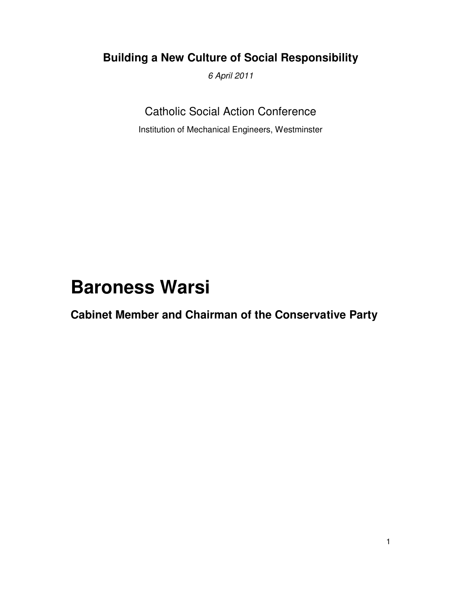## **Building a New Culture of Social Responsibility**

*6 April 2011* 

Catholic Social Action Conference

Institution of Mechanical Engineers, Westminster

# **Baroness Warsi**

**Cabinet Member and Chairman of the Conservative Party**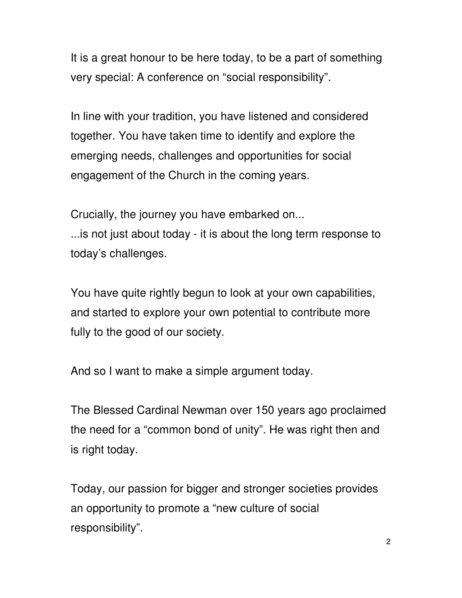It is a great honour to be here today, to be a part of something very special: A conference on "social responsibility".

In line with your tradition, you have listened and considered together. You have taken time to identify and explore the emerging needs, challenges and opportunities for social engagement of the Church in the coming years.

Crucially, the journey you have embarked on...

...is not just about today - it is about the long term response to today's challenges.

You have quite rightly begun to look at your own capabilities, and started to explore your own potential to contribute more fully to the good of our society.

And so I want to make a simple argument today.

The Blessed Cardinal Newman over 150 years ago proclaimed the need for a "common bond of unity". He was right then and is right today.

Today, our passion for bigger and stronger societies provides an opportunity to promote a "new culture of social responsibility".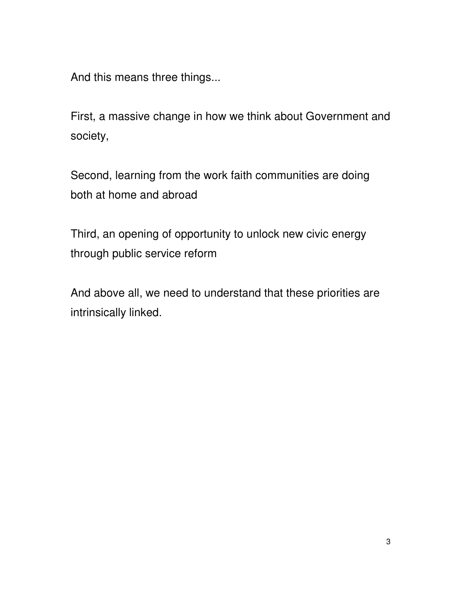And this means three things...

First, a massive change in how we think about Government and society,

Second, learning from the work faith communities are doing both at home and abroad

Third, an opening of opportunity to unlock new civic energy through public service reform

And above all, we need to understand that these priorities are intrinsically linked.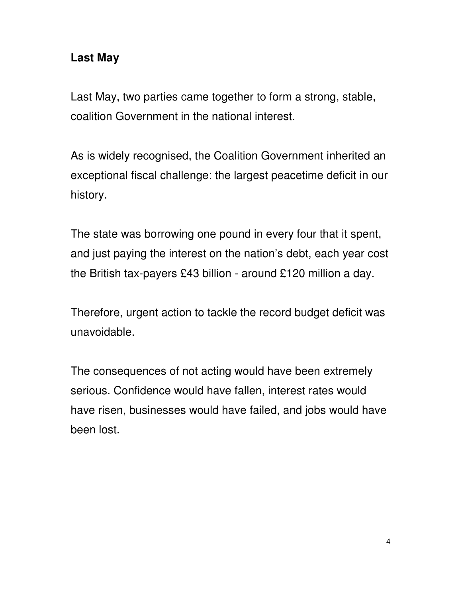#### **Last May**

Last May, two parties came together to form a strong, stable, coalition Government in the national interest.

As is widely recognised, the Coalition Government inherited an exceptional fiscal challenge: the largest peacetime deficit in our history.

The state was borrowing one pound in every four that it spent, and just paying the interest on the nation's debt, each year cost the British tax-payers £43 billion - around £120 million a day.

Therefore, urgent action to tackle the record budget deficit was unavoidable.

The consequences of not acting would have been extremely serious. Confidence would have fallen, interest rates would have risen, businesses would have failed, and jobs would have been lost.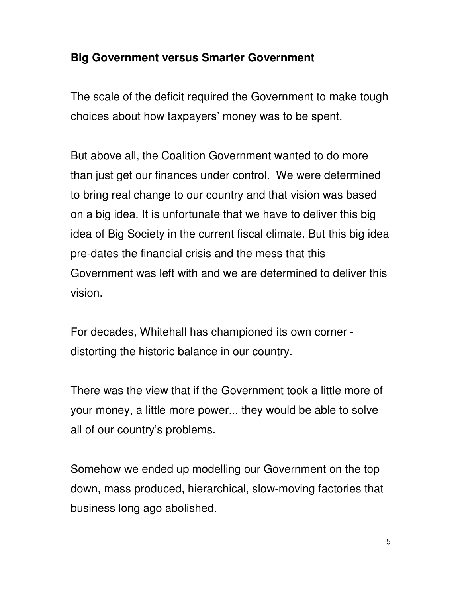#### **Big Government versus Smarter Government**

The scale of the deficit required the Government to make tough choices about how taxpayers' money was to be spent.

But above all, the Coalition Government wanted to do more than just get our finances under control. We were determined to bring real change to our country and that vision was based on a big idea. It is unfortunate that we have to deliver this big idea of Big Society in the current fiscal climate. But this big idea pre-dates the financial crisis and the mess that this Government was left with and we are determined to deliver this vision.

For decades, Whitehall has championed its own corner distorting the historic balance in our country.

There was the view that if the Government took a little more of your money, a little more power... they would be able to solve all of our country's problems.

Somehow we ended up modelling our Government on the top down, mass produced, hierarchical, slow-moving factories that business long ago abolished.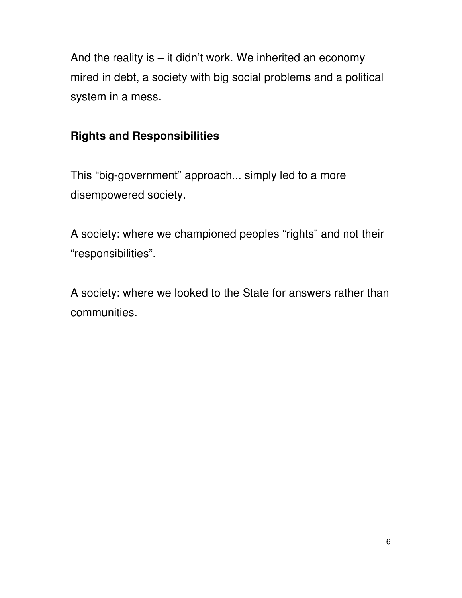And the reality is  $-$  it didn't work. We inherited an economy mired in debt, a society with big social problems and a political system in a mess.

### **Rights and Responsibilities**

This "big-government" approach... simply led to a more disempowered society.

A society: where we championed peoples "rights" and not their "responsibilities".

A society: where we looked to the State for answers rather than communities.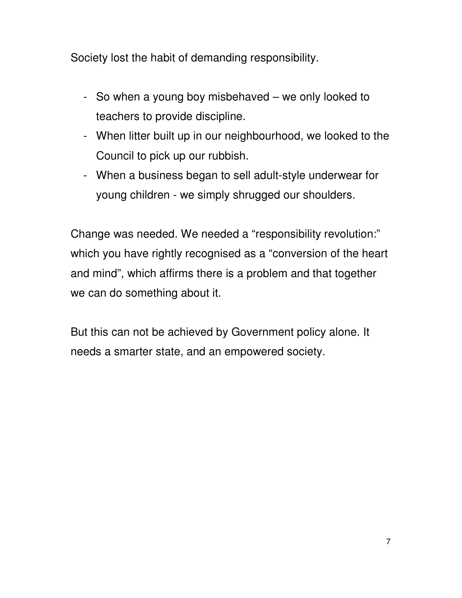Society lost the habit of demanding responsibility.

- So when a young boy misbehaved we only looked to teachers to provide discipline.
- When litter built up in our neighbourhood, we looked to the Council to pick up our rubbish.
- When a business began to sell adult-style underwear for young children - we simply shrugged our shoulders.

Change was needed. We needed a "responsibility revolution:" which you have rightly recognised as a "conversion of the heart and mind", which affirms there is a problem and that together we can do something about it.

But this can not be achieved by Government policy alone. It needs a smarter state, and an empowered society.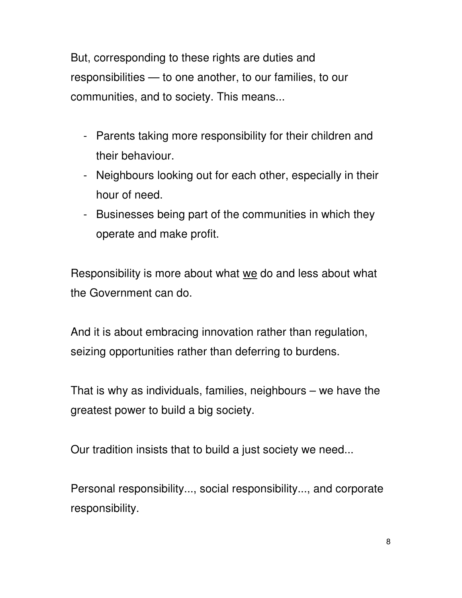But, corresponding to these rights are duties and responsibilities — to one another, to our families, to our communities, and to society. This means...

- Parents taking more responsibility for their children and their behaviour.
- Neighbours looking out for each other, especially in their hour of need.
- Businesses being part of the communities in which they operate and make profit.

Responsibility is more about what we do and less about what the Government can do.

And it is about embracing innovation rather than regulation, seizing opportunities rather than deferring to burdens.

That is why as individuals, families, neighbours – we have the greatest power to build a big society.

Our tradition insists that to build a just society we need...

Personal responsibility..., social responsibility..., and corporate responsibility.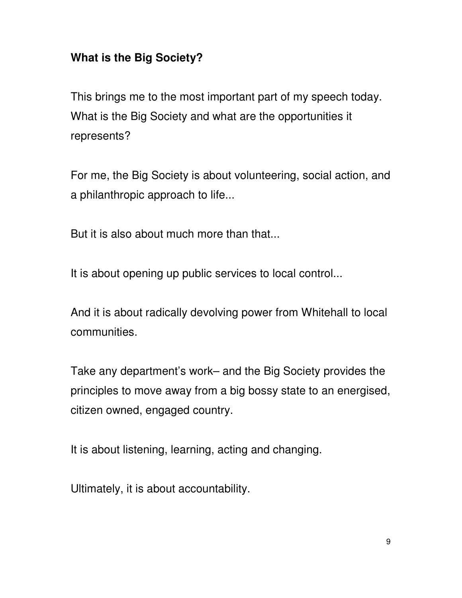## **What is the Big Society?**

This brings me to the most important part of my speech today. What is the Big Society and what are the opportunities it represents?

For me, the Big Society is about volunteering, social action, and a philanthropic approach to life...

But it is also about much more than that...

It is about opening up public services to local control...

And it is about radically devolving power from Whitehall to local communities.

Take any department's work– and the Big Society provides the principles to move away from a big bossy state to an energised, citizen owned, engaged country.

It is about listening, learning, acting and changing.

Ultimately, it is about accountability.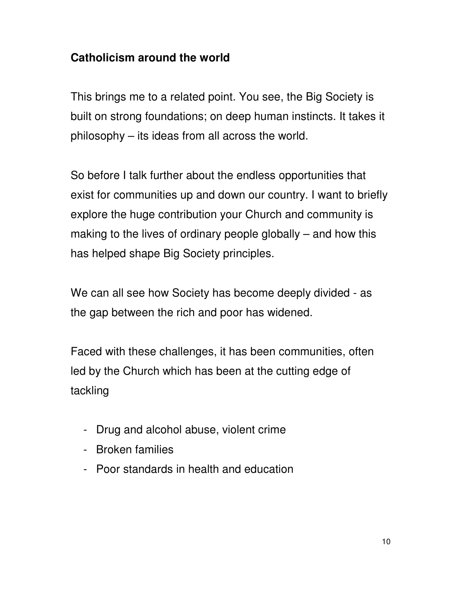#### **Catholicism around the world**

This brings me to a related point. You see, the Big Society is built on strong foundations; on deep human instincts. It takes it philosophy – its ideas from all across the world.

So before I talk further about the endless opportunities that exist for communities up and down our country. I want to briefly explore the huge contribution your Church and community is making to the lives of ordinary people globally – and how this has helped shape Big Society principles.

We can all see how Society has become deeply divided - as the gap between the rich and poor has widened.

Faced with these challenges, it has been communities, often led by the Church which has been at the cutting edge of tackling

- Drug and alcohol abuse, violent crime
- Broken families
- Poor standards in health and education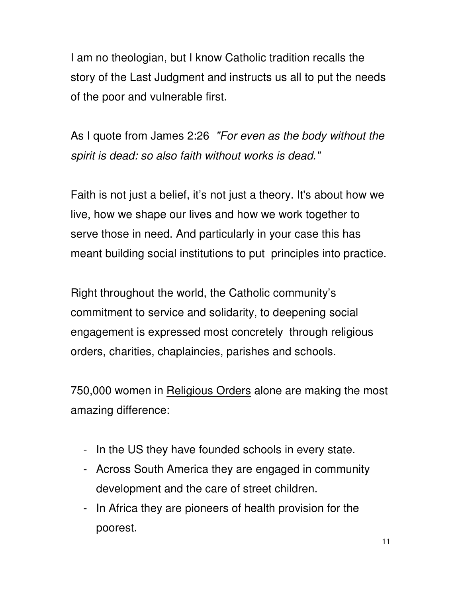I am no theologian, but I know Catholic tradition recalls the story of the Last Judgment and instructs us all to put the needs of the poor and vulnerable first.

As I quote from James 2:26 *"For even as the body without the spirit is dead: so also faith without works is dead."*

Faith is not just a belief, it's not just a theory. It's about how we live, how we shape our lives and how we work together to serve those in need. And particularly in your case this has meant building social institutions to put principles into practice.

Right throughout the world, the Catholic community's commitment to service and solidarity, to deepening social engagement is expressed most concretely through religious orders, charities, chaplaincies, parishes and schools.

750,000 women in Religious Orders alone are making the most amazing difference:

- In the US they have founded schools in every state.
- Across South America they are engaged in community development and the care of street children.
- In Africa they are pioneers of health provision for the poorest.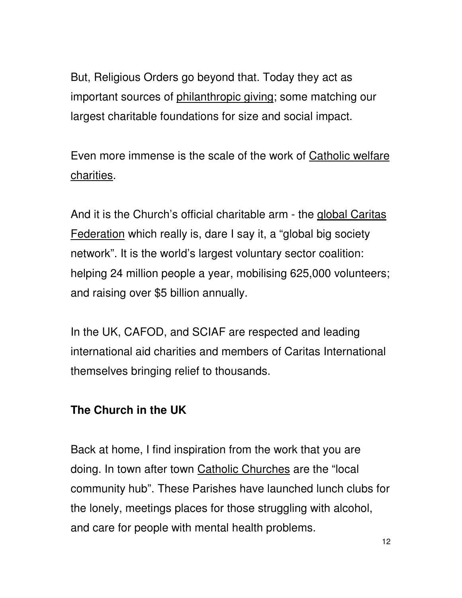But, Religious Orders go beyond that. Today they act as important sources of philanthropic giving; some matching our largest charitable foundations for size and social impact.

Even more immense is the scale of the work of Catholic welfare charities.

And it is the Church's official charitable arm - the global Caritas Federation which really is, dare I say it, a "global big society network". It is the world's largest voluntary sector coalition: helping 24 million people a year, mobilising 625,000 volunteers; and raising over \$5 billion annually.

In the UK, CAFOD, and SCIAF are respected and leading international aid charities and members of Caritas International themselves bringing relief to thousands.

## **The Church in the UK**

Back at home, I find inspiration from the work that you are doing. In town after town Catholic Churches are the "local community hub". These Parishes have launched lunch clubs for the lonely, meetings places for those struggling with alcohol, and care for people with mental health problems.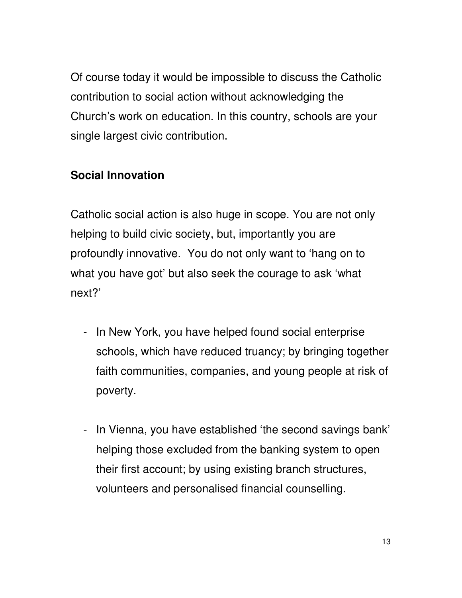Of course today it would be impossible to discuss the Catholic contribution to social action without acknowledging the Church's work on education. In this country, schools are your single largest civic contribution.

## **Social Innovation**

Catholic social action is also huge in scope. You are not only helping to build civic society, but, importantly you are profoundly innovative. You do not only want to 'hang on to what you have got' but also seek the courage to ask 'what next?'

- In New York, you have helped found social enterprise schools, which have reduced truancy; by bringing together faith communities, companies, and young people at risk of poverty.
- In Vienna, you have established 'the second savings bank' helping those excluded from the banking system to open their first account; by using existing branch structures, volunteers and personalised financial counselling.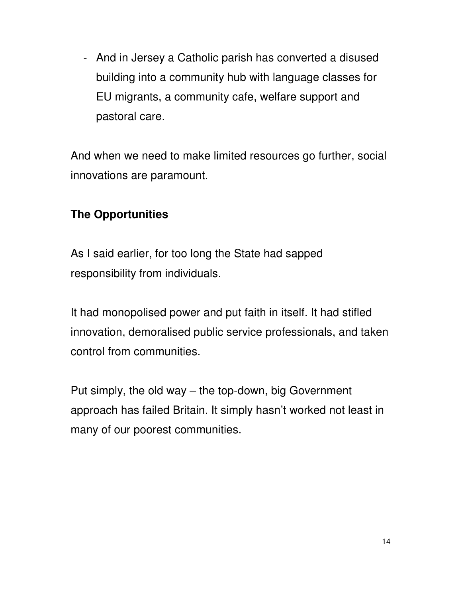- And in Jersey a Catholic parish has converted a disused building into a community hub with language classes for EU migrants, a community cafe, welfare support and pastoral care.

And when we need to make limited resources go further, social innovations are paramount.

## **The Opportunities**

As I said earlier, for too long the State had sapped responsibility from individuals.

It had monopolised power and put faith in itself. It had stifled innovation, demoralised public service professionals, and taken control from communities.

Put simply, the old way – the top-down, big Government approach has failed Britain. It simply hasn't worked not least in many of our poorest communities.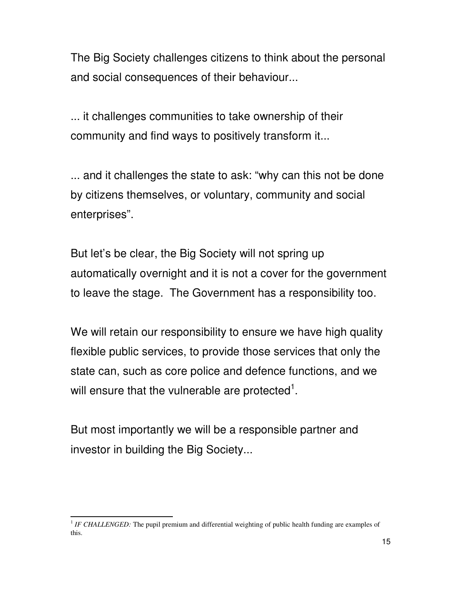The Big Society challenges citizens to think about the personal and social consequences of their behaviour...

... it challenges communities to take ownership of their community and find ways to positively transform it...

... and it challenges the state to ask: "why can this not be done by citizens themselves, or voluntary, community and social enterprises".

But let's be clear, the Big Society will not spring up automatically overnight and it is not a cover for the government to leave the stage. The Government has a responsibility too.

We will retain our responsibility to ensure we have high quality flexible public services, to provide those services that only the state can, such as core police and defence functions, and we will ensure that the vulnerable are protected<sup>1</sup>.

But most importantly we will be a responsible partner and investor in building the Big Society...

<sup>&</sup>lt;sup>1</sup> IF CHALLENGED: The pupil premium and differential weighting of public health funding are examples of this.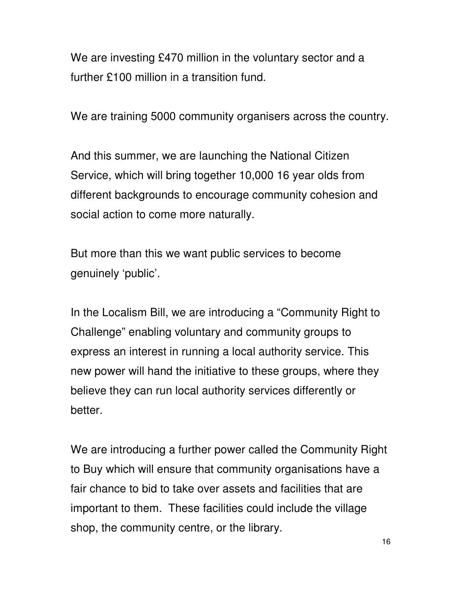We are investing £470 million in the voluntary sector and a further £100 million in a transition fund.

We are training 5000 community organisers across the country.

And this summer, we are launching the National Citizen Service, which will bring together 10,000 16 year olds from different backgrounds to encourage community cohesion and social action to come more naturally.

But more than this we want public services to become genuinely 'public'.

In the Localism Bill, we are introducing a "Community Right to Challenge" enabling voluntary and community groups to express an interest in running a local authority service. This new power will hand the initiative to these groups, where they believe they can run local authority services differently or better.

We are introducing a further power called the Community Right to Buy which will ensure that community organisations have a fair chance to bid to take over assets and facilities that are important to them. These facilities could include the village shop, the community centre, or the library.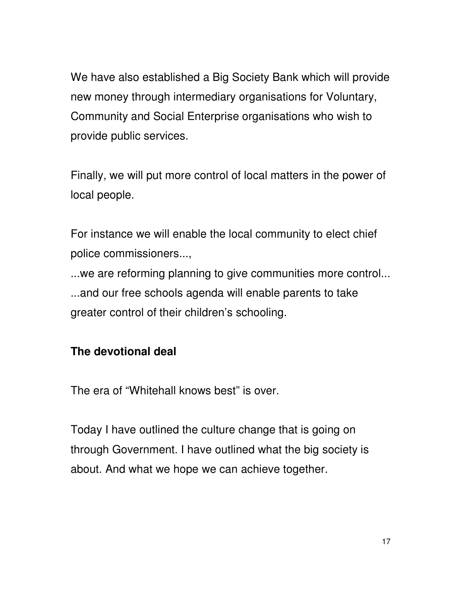We have also established a Big Society Bank which will provide new money through intermediary organisations for Voluntary, Community and Social Enterprise organisations who wish to provide public services.

Finally, we will put more control of local matters in the power of local people.

For instance we will enable the local community to elect chief police commissioners...,

...we are reforming planning to give communities more control... ...and our free schools agenda will enable parents to take greater control of their children's schooling.

### **The devotional deal**

The era of "Whitehall knows best" is over.

Today I have outlined the culture change that is going on through Government. I have outlined what the big society is about. And what we hope we can achieve together.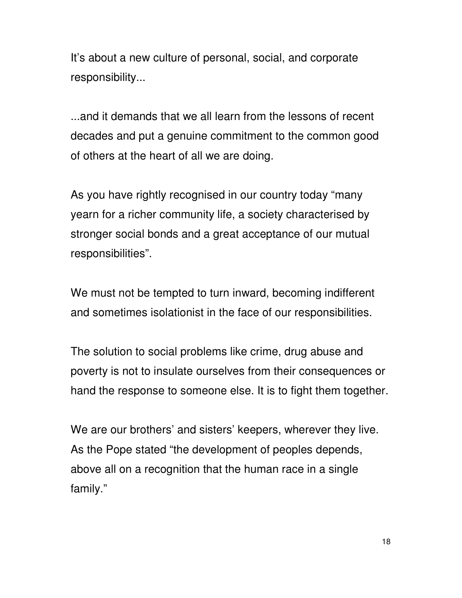It's about a new culture of personal, social, and corporate responsibility...

...and it demands that we all learn from the lessons of recent decades and put a genuine commitment to the common good of others at the heart of all we are doing.

As you have rightly recognised in our country today "many yearn for a richer community life, a society characterised by stronger social bonds and a great acceptance of our mutual responsibilities".

We must not be tempted to turn inward, becoming indifferent and sometimes isolationist in the face of our responsibilities.

The solution to social problems like crime, drug abuse and poverty is not to insulate ourselves from their consequences or hand the response to someone else. It is to fight them together.

We are our brothers' and sisters' keepers, wherever they live. As the Pope stated "the development of peoples depends, above all on a recognition that the human race in a single family."